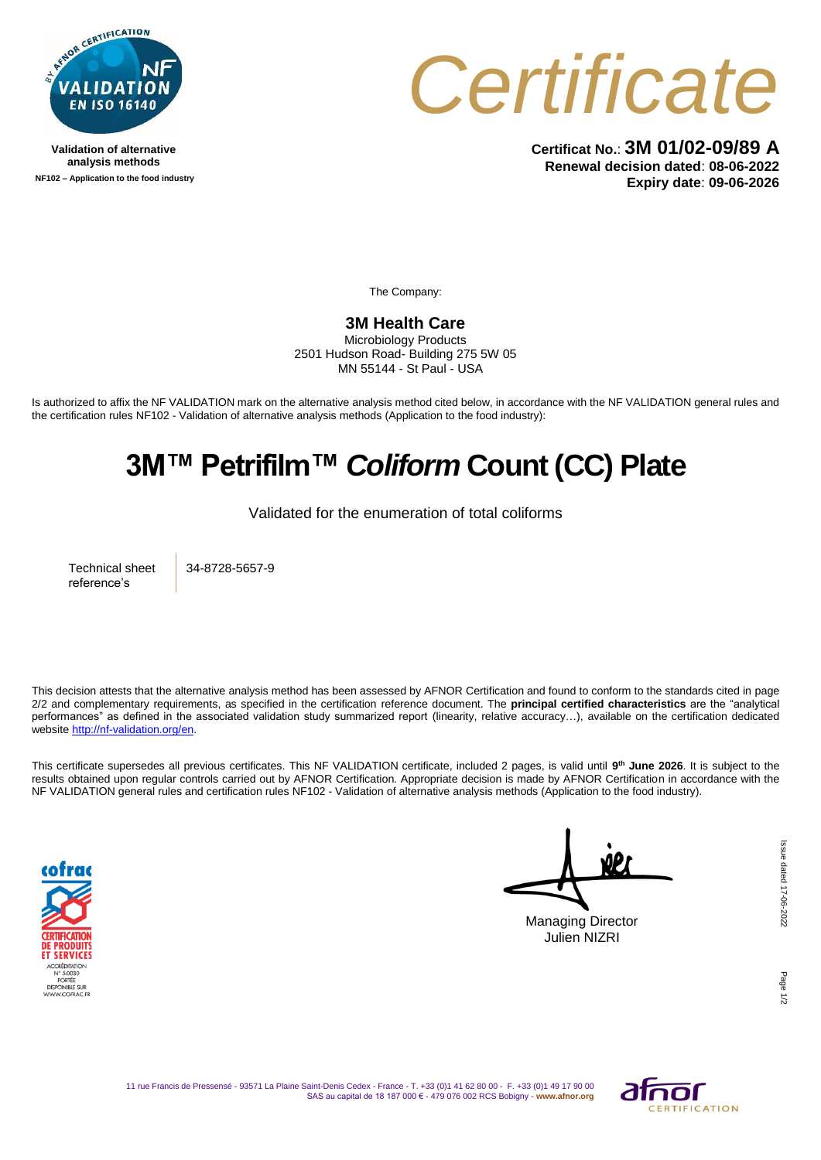

**Validation of alternative analysis methods NF102 – Application to the food industry**



**Certificat No.**: **3M 01/02-09/89 A Renewal decision dated**: **08-06-2022 Expiry date**: **09-06-2026**

The Company:

**3M Health Care** 

Microbiology Products 2501 Hudson Road- Building 275 5W 05 MN 55144 - St Paul - USA

Is authorized to affix the NF VALIDATION mark on the alternative analysis method cited below, in accordance with the NF VALIDATION general rules and the certification rules NF102 - Validation of alternative analysis methods (Application to the food industry):

## **3M™ Petrifilm™** *Coliform* **Count (CC) Plate**

Validated for the enumeration of total coliforms

Technical sheet reference's

34-8728-5657-9

This decision attests that the alternative analysis method has been assessed by AFNOR Certification and found to conform to the standards cited in page 2/2 and complementary requirements, as specified in the certification reference document. The **principal certified characteristics** are the "analytical performances" as defined in the associated validation study summarized report (linearity, relative accuracy…), available on the certification dedicated websit[e http://nf-validation.org/en.](http://nf-validation.org/en)

This certificate supersedes all previous certificates. This NF VALIDATION certificate, included 2 pages, is valid until **9 th June 2026**. It is subject to the results obtained upon regular controls carried out by AFNOR Certification. Appropriate decision is made by AFNOR Certification in accordance with the NF VALIDATION general rules and certification rules NF102 - Validation of alternative analysis methods (Application to the food industry).



Managing Director Julien NIZRI

Page